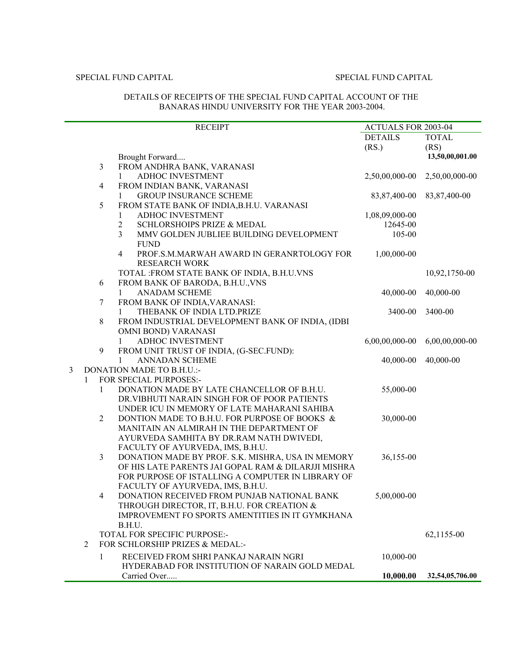|   |              | <b>RECEIPT</b>                                                      | <b>ACTUALS FOR 2003-04</b> |                 |
|---|--------------|---------------------------------------------------------------------|----------------------------|-----------------|
|   |              |                                                                     | <b>DETAILS</b>             | <b>TOTAL</b>    |
|   |              |                                                                     | (RS.)                      | (RS)            |
|   |              | Brought Forward                                                     |                            | 13,50,00,001.00 |
|   |              | $\mathfrak{Z}$<br>FROM ANDHRA BANK, VARANASI                        |                            |                 |
|   |              | ADHOC INVESTMENT<br>1                                               | 2,50,00,000-00             | 2,50,00,000-00  |
|   |              | $\overline{4}$<br>FROM INDIAN BANK, VARANASI                        |                            |                 |
|   |              | <b>GROUP INSURANCE SCHEME</b><br>1                                  | 83,87,400-00               | 83, 87, 400-00  |
|   |              | 5<br>FROM STATE BANK OF INDIA, B.H.U. VARANASI                      |                            |                 |
|   |              | ADHOC INVESTMENT<br>1                                               | 1,08,09,000-00             |                 |
|   |              | $\overline{2}$<br><b>SCHLORSHOIPS PRIZE &amp; MEDAL</b>             | 12645-00                   |                 |
|   |              | 3<br>MMV GOLDEN JUBLIEE BUILDING DEVELOPMENT                        | 105-00                     |                 |
|   |              | <b>FUND</b>                                                         |                            |                 |
|   |              | $\overline{4}$<br>PROF.S.M.MARWAH AWARD IN GERANRTOLOGY FOR         | 1,00,000-00                |                 |
|   |              | <b>RESEARCH WORK</b>                                                |                            |                 |
|   |              | TOTAL : FROM STATE BANK OF INDIA, B.H.U.VNS                         |                            | 10,92,1750-00   |
|   |              | FROM BANK OF BARODA, B.H.U., VNS<br>6                               |                            |                 |
|   |              | ANADAM SCHEME<br>$\mathbf{1}$                                       | 40,000-00                  | 40,000-00       |
|   |              | FROM BANK OF INDIA, VARANASI:<br>7                                  |                            |                 |
|   |              | THEBANK OF INDIA LTD.PRIZE<br>1                                     | 3400-00                    | 3400-00         |
|   |              | 8<br>FROM INDUSTRIAL DEVELOPMENT BANK OF INDIA, (IDBI               |                            |                 |
|   |              | OMNI BOND) VARANASI                                                 |                            |                 |
|   |              | ADHOC INVESTMENT<br>1                                               | 6,00,00,000-00             | 6,00,00,000-00  |
|   |              | 9<br>FROM UNIT TRUST OF INDIA, (G-SEC.FUND):                        |                            |                 |
|   |              | <b>ANNADAN SCHEME</b><br>1                                          | 40,000-00                  | 40,000-00       |
| 3 |              | DONATION MADE TO B.H.U.:-                                           |                            |                 |
|   | $\mathbf{1}$ | FOR SPECIAL PURPOSES:-                                              |                            |                 |
|   |              | $\mathbf{1}$<br>DONATION MADE BY LATE CHANCELLOR OF B.H.U.          | 55,000-00                  |                 |
|   |              | DR. VIBHUTI NARAIN SINGH FOR OF POOR PATIENTS                       |                            |                 |
|   |              | UNDER ICU IN MEMORY OF LATE MAHARANI SAHIBA                         |                            |                 |
|   |              | $\overline{2}$<br>DONTION MADE TO B.H.U. FOR PURPOSE OF BOOKS &     | 30,000-00                  |                 |
|   |              | MANITAIN AN ALMIRAH IN THE DEPARTMENT OF                            |                            |                 |
|   |              | AYURVEDA SAMHITA BY DR.RAM NATH DWIVEDI,                            |                            |                 |
|   |              | FACULTY OF AYURVEDA, IMS, B.H.U.                                    |                            |                 |
|   |              | $\mathfrak{Z}$<br>DONATION MADE BY PROF. S.K. MISHRA, USA IN MEMORY | 36,155-00                  |                 |
|   |              | OF HIS LATE PARENTS JAI GOPAL RAM & DILARJJI MISHRA                 |                            |                 |
|   |              | FOR PURPOSE OF ISTALLING A COMPUTER IN LIBRARY OF                   |                            |                 |
|   |              | FACULTY OF AYURVEDA, IMS, B.H.U.                                    |                            |                 |
|   |              | DONATION RECEIVED FROM PUNJAB NATIONAL BANK                         | 5,00,000-00                |                 |
|   |              | THROUGH DIRECTOR, IT, B.H.U. FOR CREATION &                         |                            |                 |
|   |              | IMPROVEMENT FO SPORTS AMENTITIES IN IT GYMKHANA                     |                            |                 |
|   |              | B.H.U.                                                              |                            |                 |
|   |              | TOTAL FOR SPECIFIC PURPOSE:-                                        |                            | 62,1155-00      |
|   | 2            | FOR SCHLORSHIP PRIZES & MEDAL:-                                     |                            |                 |
|   |              | RECEIVED FROM SHRI PANKAJ NARAIN NGRI<br>1                          | 10,000-00                  |                 |
|   |              | HYDERABAD FOR INSTITUTION OF NARAIN GOLD MEDAL                      |                            |                 |
|   |              | Carried Over                                                        | 10,000.00                  | 32,54,05,706.00 |

### DETAILS OF RECEIPTS OF THE SPECIAL FUND CAPITAL ACCOUNT OF THE BANARAS HINDU UNIVERSITY FOR THE YEAR 2003-2004.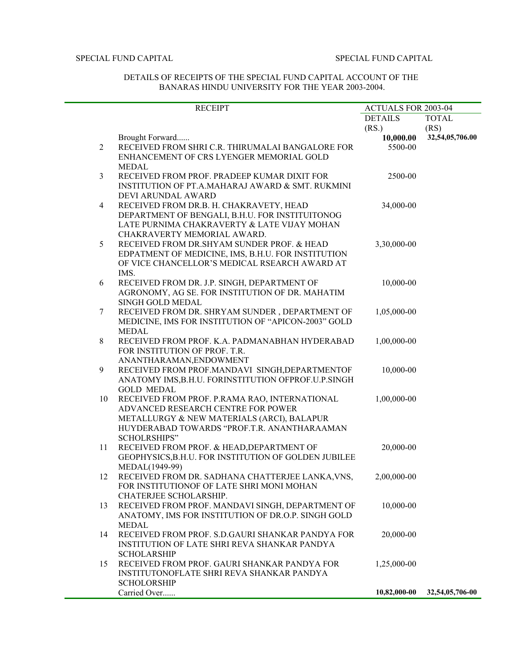## DETAILS OF RECEIPTS OF THE SPECIAL FUND CAPITAL ACCOUNT OF THE BANARAS HINDU UNIVERSITY FOR THE YEAR 2003-2004.

|                | <b>RECEIPT</b>                                                     |                | <b>ACTUALS FOR 2003-04</b> |  |
|----------------|--------------------------------------------------------------------|----------------|----------------------------|--|
|                |                                                                    | <b>DETAILS</b> | <b>TOTAL</b>               |  |
|                |                                                                    | (RS.)          | (RS)                       |  |
|                | Brought Forward                                                    | 10,000.00      | 32,54,05,706.00            |  |
| $\overline{2}$ | RECEIVED FROM SHRI C.R. THIRUMALAI BANGALORE FOR                   | 5500-00        |                            |  |
|                | ENHANCEMENT OF CRS LYENGER MEMORIAL GOLD                           |                |                            |  |
|                | <b>MEDAL</b>                                                       |                |                            |  |
| $\mathfrak{Z}$ | RECEIVED FROM PROF. PRADEEP KUMAR DIXIT FOR                        | 2500-00        |                            |  |
|                | INSTITUTION OF PT.A.MAHARAJ AWARD & SMT. RUKMINI                   |                |                            |  |
|                | DEVI ARUNDAL AWARD                                                 |                |                            |  |
| $\overline{4}$ | RECEIVED FROM DR.B. H. CHAKRAVETY, HEAD                            | 34,000-00      |                            |  |
|                | DEPARTMENT OF BENGALI, B.H.U. FOR INSTITUITONOG                    |                |                            |  |
|                | LATE PURNIMA CHAKRAVERTY & LATE VIJAY MOHAN                        |                |                            |  |
|                | CHAKRAVERTY MEMORIAL AWARD.                                        |                |                            |  |
| 5              | RECEIVED FROM DR.SHYAM SUNDER PROF. & HEAD                         | 3,30,000-00    |                            |  |
|                | EDPATMENT OF MEDICINE, IMS, B.H.U. FOR INSTITUTION                 |                |                            |  |
|                | OF VICE CHANCELLOR'S MEDICAL RSEARCH AWARD AT                      |                |                            |  |
|                | IMS.                                                               |                |                            |  |
| 6              | RECEIVED FROM DR. J.P. SINGH, DEPARTMENT OF                        | 10,000-00      |                            |  |
|                | AGRONOMY, AG SE. FOR INSTITUTION OF DR. MAHATIM                    |                |                            |  |
|                | SINGH GOLD MEDAL                                                   |                |                            |  |
| $\tau$         | RECEIVED FROM DR. SHRYAM SUNDER, DEPARTMENT OF                     | 1,05,000-00    |                            |  |
|                | MEDICINE, IMS FOR INSTITUTION OF "APICON-2003" GOLD                |                |                            |  |
|                | <b>MEDAL</b>                                                       |                |                            |  |
| 8              | RECEIVED FROM PROF. K.A. PADMANABHAN HYDERABAD                     | 1,00,000-00    |                            |  |
|                | FOR INSTITUTION OF PROF. T.R.                                      |                |                            |  |
|                | ANANTHARAMAN, ENDOWMENT                                            |                |                            |  |
| 9              | RECEIVED FROM PROF.MANDAVI SINGH, DEPARTMENTOF                     | 10,000-00      |                            |  |
|                | ANATOMY IMS, B.H.U. FORINSTITUTION OFPROF.U.P.SINGH                |                |                            |  |
|                | <b>GOLD MEDAL</b>                                                  |                |                            |  |
| 10             | RECEIVED FROM PROF. P.RAMA RAO, INTERNATIONAL                      | 1,00,000-00    |                            |  |
|                | ADVANCED RESEARCH CENTRE FOR POWER                                 |                |                            |  |
|                | METALLURGY & NEW MATERIALS (ARCI), BALAPUR                         |                |                            |  |
|                | HUYDERABAD TOWARDS "PROF.T.R. ANANTHARAAMAN                        |                |                            |  |
|                | <b>SCHOLRSHIPS"</b>                                                |                |                            |  |
| 11             | RECEIVED FROM PROF. & HEAD, DEPARTMENT OF                          | 20,000-00      |                            |  |
|                | GEOPHYSICS, B.H.U. FOR INSTITUTION OF GOLDEN JUBILEE               |                |                            |  |
| 12             | MEDAL(1949-99)<br>RECEIVED FROM DR. SADHANA CHATTERJEE LANKA, VNS, | 2,00,000-00    |                            |  |
|                | FOR INSTITUTIONOF OF LATE SHRI MONI MOHAN                          |                |                            |  |
|                | CHATERJEE SCHOLARSHIP.                                             |                |                            |  |
| 13             | RECEIVED FROM PROF. MANDAVI SINGH, DEPARTMENT OF                   | 10,000-00      |                            |  |
|                | ANATOMY, IMS FOR INSTITUTION OF DR.O.P. SINGH GOLD                 |                |                            |  |
|                | MEDAL                                                              |                |                            |  |
| 14             | RECEIVED FROM PROF. S.D.GAURI SHANKAR PANDYA FOR                   | 20,000-00      |                            |  |
|                | INSTITUTION OF LATE SHRI REVA SHANKAR PANDYA                       |                |                            |  |
|                | <b>SCHOLARSHIP</b>                                                 |                |                            |  |
| 15             | RECEIVED FROM PROF. GAURI SHANKAR PANDYA FOR                       | 1,25,000-00    |                            |  |
|                | INSTITUTONOFLATE SHRI REVA SHANKAR PANDYA                          |                |                            |  |
|                | <b>SCHOLORSHIP</b>                                                 |                |                            |  |
|                | Carried Over                                                       | 10,82,000-00   | 32,54,05,706-00            |  |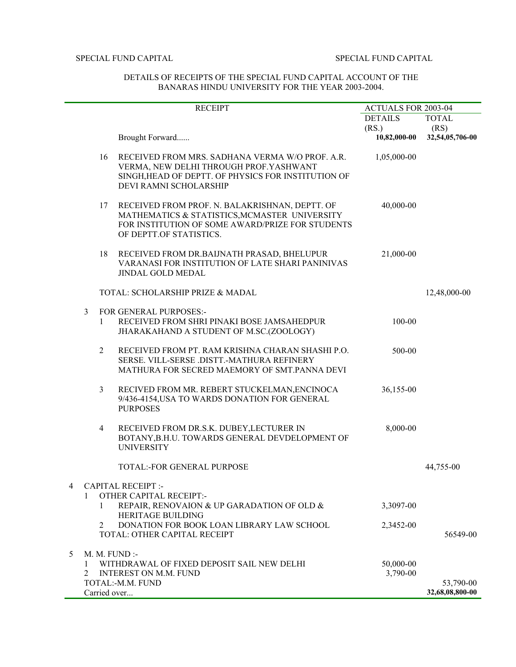|              |                                                      | <b>RECEIPT</b>                                                                                                                                                                 | ACTUALS FOR 2003-04                       |                                         |
|--------------|------------------------------------------------------|--------------------------------------------------------------------------------------------------------------------------------------------------------------------------------|-------------------------------------------|-----------------------------------------|
|              |                                                      | Brought Forward                                                                                                                                                                | <b>DETAILS</b><br>(RS)<br>$10,82,000$ -00 | <b>TOTAL</b><br>(RS)<br>32,54,05,706-00 |
|              | 16                                                   | RECEIVED FROM MRS. SADHANA VERMA W/O PROF. A.R.<br>VERMA, NEW DELHI THROUGH PROF. YASHWANT<br>SINGH, HEAD OF DEPTT. OF PHYSICS FOR INSTITUTION OF<br>DEVI RAMNI SCHOLARSHIP    | 1,05,000-00                               |                                         |
|              | 17                                                   | RECEIVED FROM PROF. N. BALAKRISHNAN, DEPTT. OF<br>MATHEMATICS & STATISTICS, MCMASTER UNIVERSITY<br>FOR INSTITUTION OF SOME AWARD/PRIZE FOR STUDENTS<br>OF DEPTT.OF STATISTICS. | 40,000-00                                 |                                         |
|              | 18                                                   | RECEIVED FROM DR.BAIJNATH PRASAD, BHELUPUR<br>VARANASI FOR INSTITUTION OF LATE SHARI PANINIVAS<br>JINDAL GOLD MEDAL                                                            | 21,000-00                                 |                                         |
|              |                                                      | TOTAL: SCHOLARSHIP PRIZE & MADAL                                                                                                                                               |                                           | 12,48,000-00                            |
| 3            | $\mathbf{1}$                                         | <b>FOR GENERAL PURPOSES:-</b><br>RECEIVED FROM SHRI PINAKI BOSE JAMSAHEDPUR<br>JHARAKAHAND A STUDENT OF M.SC.(ZOOLOGY)                                                         | 100-00                                    |                                         |
|              | $\overline{2}$                                       | RECEIVED FROM PT. RAM KRISHNA CHARAN SHASHI P.O.<br>SERSE. VILL-SERSE .DISTT.-MATHURA REFINERY<br>MATHURA FOR SECRED MAEMORY OF SMT.PANNA DEVI                                 | 500-00                                    |                                         |
|              | $\mathfrak{Z}$                                       | RECIVED FROM MR. REBERT STUCKELMAN, ENCINOCA<br>9/436-4154, USA TO WARDS DONATION FOR GENERAL<br><b>PURPOSES</b>                                                               | 36,155-00                                 |                                         |
|              | $\overline{4}$                                       | RECEIVED FROM DR.S.K. DUBEY, LECTURER IN<br>BOTANY, B.H.U. TOWARDS GENERAL DEVDELOPMENT OF<br><b>UNIVERSITY</b>                                                                | 8,000-00                                  |                                         |
|              |                                                      | <b>TOTAL:-FOR GENERAL PURPOSE</b>                                                                                                                                              |                                           | 44,755-00                               |
| 4<br>1       | <b>CAPITAL RECEIPT :-</b><br>OTHER CAPITAL RECEIPT:- |                                                                                                                                                                                |                                           |                                         |
|              | 1                                                    | REPAIR, RENOVAION & UP GARADATION OF OLD &<br>HERITAGE BUILDING                                                                                                                | 3,3097-00                                 |                                         |
|              | 2                                                    | DONATION FOR BOOK LOAN LIBRARY LAW SCHOOL<br>TOTAL: OTHER CAPITAL RECEIPT                                                                                                      | 2,3452-00                                 | 56549-00                                |
| 5.<br>1<br>2 |                                                      | M. M. FUND:<br>WITHDRAWAL OF FIXED DEPOSIT SAIL NEW DELHI<br><b>INTEREST ON M.M. FUND</b><br>TOTAL:-M.M. FUND                                                                  | 50,000-00<br>3,790-00                     | 53,790-00                               |
|              | Carried over                                         |                                                                                                                                                                                |                                           | 32,68,08,800-00                         |

# DETAILS OF RECEIPTS OF THE SPECIAL FUND CAPITAL ACCOUNT OF THE BANARAS HINDU UNIVERSITY FOR THE YEAR 2003-2004.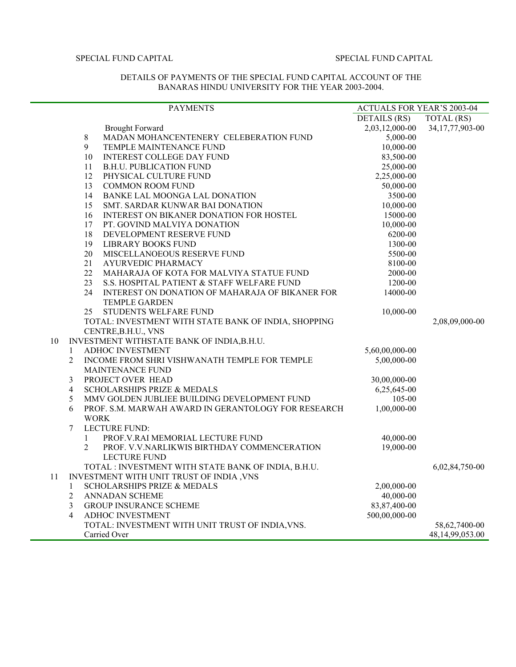## DETAILS OF PAYMENTS OF THE SPECIAL FUND CAPITAL ACCOUNT OF THE BANARAS HINDU UNIVERSITY FOR THE YEAR 2003-2004.

|    |                | <b>PAYMENTS</b>                                      | <b>ACTUALS FOR YEAR'S 2003-04</b> |                    |
|----|----------------|------------------------------------------------------|-----------------------------------|--------------------|
|    |                |                                                      | DETAILS (RS)                      | TOTAL (RS)         |
|    |                | <b>Brought Forward</b>                               | 2,03,12,000-00                    | 34, 17, 77, 903-00 |
|    | 8              | MADAN MOHANCENTENERY CELEBERATION FUND               | 5,000-00                          |                    |
|    | 9              | TEMPLE MAINTENANCE FUND                              | 10,000-00                         |                    |
|    | 10             | <b>INTEREST COLLEGE DAY FUND</b>                     | 83,500-00                         |                    |
|    | 11             | <b>B.H.U. PUBLICATION FUND</b>                       | 25,000-00                         |                    |
|    | 12             | PHYSICAL CULTURE FUND                                | 2,25,000-00                       |                    |
|    | 13             | <b>COMMON ROOM FUND</b>                              | 50,000-00                         |                    |
|    | 14             | BANKE LAL MOONGA LAL DONATION                        | 3500-00                           |                    |
|    | 15             | SMT. SARDAR KUNWAR BAI DONATION                      | 10,000-00                         |                    |
|    | 16             | INTEREST ON BIKANER DONATION FOR HOSTEL              | 15000-00                          |                    |
|    | 17             | PT. GOVIND MALVIYA DONATION                          | 10,000-00                         |                    |
|    | 18             | DEVELOPMENT RESERVE FUND                             | 6200-00                           |                    |
|    | 19             | <b>LIBRARY BOOKS FUND</b>                            | 1300-00                           |                    |
|    | 20             | MISCELLANOEOUS RESERVE FUND                          | 5500-00                           |                    |
|    | 21             | AYURVEDIC PHARMACY                                   | 8100-00                           |                    |
|    | 22             | MAHARAJA OF KOTA FOR MALVIYA STATUE FUND             | 2000-00                           |                    |
|    | 23             | S.S. HOSPITAL PATIENT & STAFF WELFARE FUND           | 1200-00                           |                    |
|    | 24             | INTEREST ON DONATION OF MAHARAJA OF BIKANER FOR      | 14000-00                          |                    |
|    |                | <b>TEMPLE GARDEN</b>                                 |                                   |                    |
|    | 25             | STUDENTS WELFARE FUND                                | 10,000-00                         |                    |
|    |                | TOTAL: INVESTMENT WITH STATE BANK OF INDIA, SHOPPING |                                   | 2,08,09,000-00     |
|    |                | CENTRE, B.H.U., VNS                                  |                                   |                    |
| 10 |                | INVESTMENT WITHSTATE BANK OF INDIA, B.H.U.           |                                   |                    |
|    | $\mathbf{1}$   | ADHOC INVESTMENT                                     | 5,60,00,000-00                    |                    |
|    | $\overline{2}$ | INCOME FROM SHRI VISHWANATH TEMPLE FOR TEMPLE        | 5,00,000-00                       |                    |
|    |                | <b>MAINTENANCE FUND</b>                              |                                   |                    |
|    | 3              | PROJECT OVER HEAD                                    | 30,00,000-00                      |                    |
|    | $\overline{4}$ | SCHOLARSHIPS PRIZE & MEDALS                          | 6,25,645-00                       |                    |
|    | 5              | MMV GOLDEN JUBLIEE BUILDING DEVELOPMENT FUND         | 105-00                            |                    |
|    | 6              | PROF. S.M. MARWAH AWARD IN GERANTOLOGY FOR RESEARCH  | 1,00,000-00                       |                    |
|    |                | <b>WORK</b>                                          |                                   |                    |
|    | 7              | LECTURE FUND:                                        |                                   |                    |
|    | $\mathbf{1}$   | PROF.V.RAI MEMORIAL LECTURE FUND                     | 40,000-00                         |                    |
|    | $\overline{2}$ | PROF. V.V.NARLIKWIS BIRTHDAY COMMENCERATION          | 19,000-00                         |                    |
|    |                | <b>LECTURE FUND</b>                                  |                                   |                    |
|    |                | TOTAL : INVESTMENT WITH STATE BANK OF INDIA, B.H.U.  |                                   | 6,02,84,750-00     |
| 11 |                | INVESTMENT WITH UNIT TRUST OF INDIA , VNS            |                                   |                    |
|    | 1              | SCHOLARSHIPS PRIZE & MEDALS                          | 2,00,000-00                       |                    |
|    | $\overline{2}$ | <b>ANNADAN SCHEME</b>                                | 40,000-00                         |                    |
|    | $\mathfrak{Z}$ | <b>GROUP INSURANCE SCHEME</b>                        | 83, 87, 400-00                    |                    |
|    | $\overline{4}$ | ADHOC INVESTMENT                                     | 500,00,000-00                     |                    |
|    |                | TOTAL: INVESTMENT WITH UNIT TRUST OF INDIA, VNS.     |                                   | 58,62,7400-00      |
|    |                | Carried Over                                         |                                   | 48,14,99,053.00    |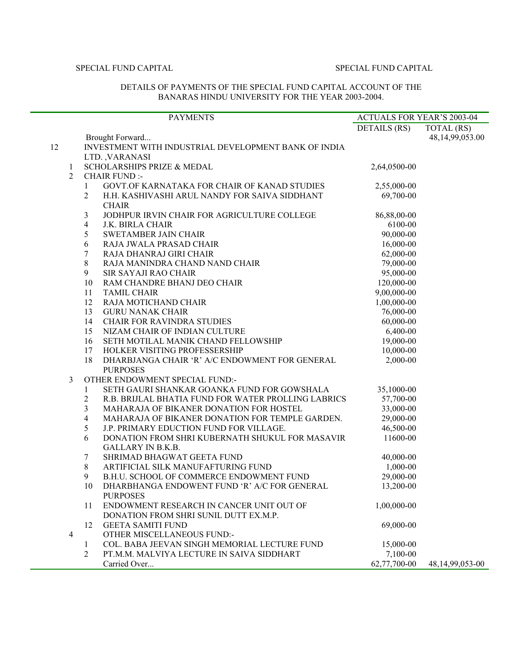### DETAILS OF PAYMENTS OF THE SPECIAL FUND CAPITAL ACCOUNT OF THE BANARAS HINDU UNIVERSITY FOR THE YEAR 2003-2004.

|                                |                | <b>PAYMENTS</b>                                      | <b>ACTUALS FOR YEAR'S 2003-04</b> |                    |
|--------------------------------|----------------|------------------------------------------------------|-----------------------------------|--------------------|
|                                |                |                                                      | DETAILS (RS)                      | TOTAL (RS)         |
|                                |                | Brought Forward                                      |                                   | 48,14,99,053.00    |
| 12                             |                | INVESTMENT WITH INDUSTRIAL DEVELOPMENT BANK OF INDIA |                                   |                    |
|                                |                | LTD. VARANASI<br>SCHOLARSHIPS PRIZE & MEDAL          | 2,64,0500-00                      |                    |
| $\mathbf{1}$<br>$\overline{2}$ |                | <b>CHAIR FUND:-</b>                                  |                                   |                    |
|                                | $\mathbf{1}$   | GOVT.OF KARNATAKA FOR CHAIR OF KANAD STUDIES         | 2,55,000-00                       |                    |
|                                | 2              | H.H. KASHIVASHI ARUL NANDY FOR SAIVA SIDDHANT        | 69,700-00                         |                    |
|                                |                | <b>CHAIR</b>                                         |                                   |                    |
|                                | $\mathfrak{Z}$ | JODHPUR IRVIN CHAIR FOR AGRICULTURE COLLEGE          | 86,88,00-00                       |                    |
|                                | $\overline{4}$ | J.K. BIRLA CHAIR                                     | 6100-00                           |                    |
|                                | 5              | <b>SWETAMBER JAIN CHAIR</b>                          | 90,000-00                         |                    |
|                                | 6              | RAJA JWALA PRASAD CHAIR                              | 16,000-00                         |                    |
|                                | $\tau$         | RAJA DHANRAJ GIRI CHAIR                              | 62,000-00                         |                    |
|                                | 8              | RAJA MANINDRA CHAND NAND CHAIR                       | 79,000-00                         |                    |
|                                | 9              | SIR SAYAJI RAO CHAIR                                 | 95,000-00                         |                    |
|                                | 10             | RAM CHANDRE BHANJ DEO CHAIR                          | 120,000-00                        |                    |
|                                | 11             | <b>TAMIL CHAIR</b>                                   | 9,00,000-00                       |                    |
|                                | 12             | RAJA MOTICHAND CHAIR                                 | 1,00,000-00                       |                    |
|                                | 13             | <b>GURU NANAK CHAIR</b>                              | 76,000-00                         |                    |
|                                | 14             | <b>CHAIR FOR RAVINDRA STUDIES</b>                    | 60,000-00                         |                    |
|                                | 15             | NIZAM CHAIR OF INDIAN CULTURE                        | 6,400-00                          |                    |
|                                | 16             | SETH MOTILAL MANIK CHAND FELLOWSHIP                  | 19,000-00                         |                    |
|                                | 17             | HOLKER VISITING PROFESSERSHIP                        | 10,000-00                         |                    |
|                                | 18             | DHARBJANGA CHAIR 'R' A/C ENDOWMENT FOR GENERAL       | 2,000-00                          |                    |
|                                |                | <b>PURPOSES</b>                                      |                                   |                    |
| $\mathfrak{Z}$                 |                | OTHER ENDOWMENT SPECIAL FUND:-                       |                                   |                    |
|                                | 1              | SETH GAURI SHANKAR GOANKA FUND FOR GOWSHALA          | 35,1000-00                        |                    |
|                                | 2              | R.B. BRIJLAL BHATIA FUND FOR WATER PROLLING LABRICS  | 57,700-00                         |                    |
|                                | 3              | MAHARAJA OF BIKANER DONATION FOR HOSTEL              | 33,000-00                         |                    |
|                                | 4              | MAHARAJA OF BIKANER DONATION FOR TEMPLE GARDEN.      | 29,000-00                         |                    |
|                                | 5              | J.P. PRIMARY EDUCTION FUND FOR VILLAGE.              | 46,500-00                         |                    |
|                                | 6              | DONATION FROM SHRI KUBERNATH SHUKUL FOR MASAVIR      | 11600-00                          |                    |
|                                |                | <b>GALLARY IN B.K.B.</b>                             |                                   |                    |
|                                | 7              | SHRIMAD BHAGWAT GEETA FUND                           | 40,000-00                         |                    |
|                                | 8              | ARTIFICIAL SILK MANUFAFTURING FUND                   | 1,000-00                          |                    |
|                                | 9              | B.H.U. SCHOOL OF COMMERCE ENDOWMENT FUND             | 29,000-00                         |                    |
|                                | 10             | DHARBHANGA ENDOWENT FUND 'R' A/C FOR GENERAL         | 13,200-00                         |                    |
|                                |                | <b>PURPOSES</b>                                      |                                   |                    |
|                                | 11             | ENDOWMENT RESEARCH IN CANCER UNIT OUT OF             | 1,00,000-00                       |                    |
|                                |                | DONATION FROM SHRI SUNIL DUTT EX.M.P.                |                                   |                    |
|                                | 12             | <b>GEETA SAMITI FUND</b>                             | 69,000-00                         |                    |
| $\overline{4}$                 |                | OTHER MISCELLANEOUS FUND:-                           |                                   |                    |
|                                | 1              | COL. BABA JEEVAN SINGH MEMORIAL LECTURE FUND         | 15,000-00                         |                    |
|                                | $\overline{2}$ | PT.M.M. MALVIYA LECTURE IN SAIVA SIDDHART            | 7,100-00                          |                    |
|                                |                | Carried Over                                         | 62,77,700-00                      | 48, 14, 99, 053-00 |